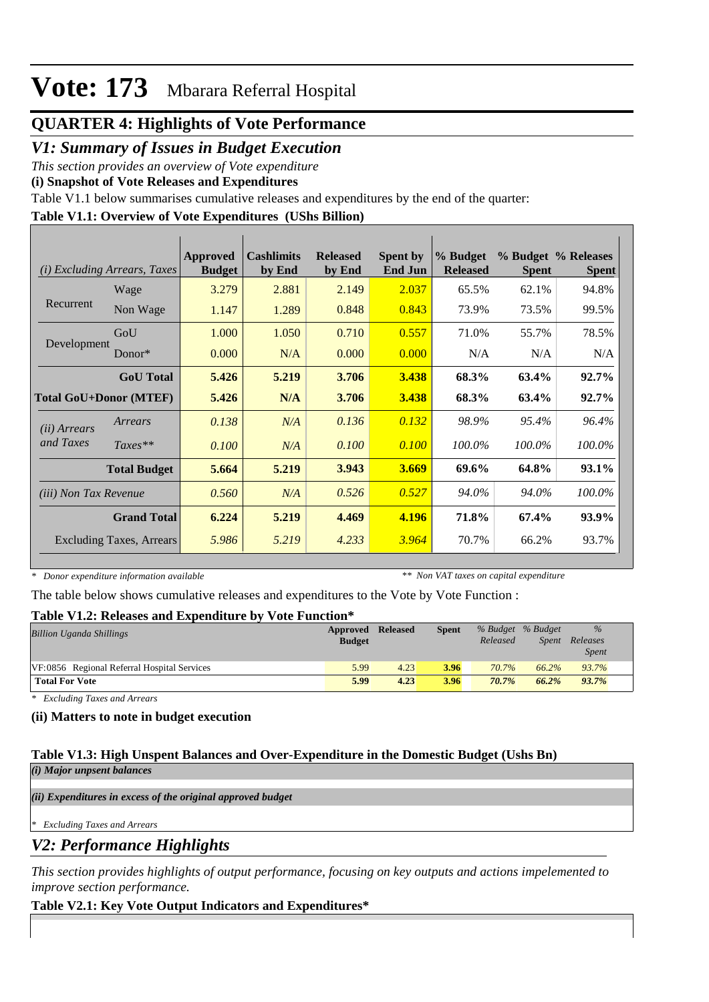### **QUARTER 4: Highlights of Vote Performance**

### *V1: Summary of Issues in Budget Execution*

*This section provides an overview of Vote expenditure* 

**(i) Snapshot of Vote Releases and Expenditures**

Table V1.1 below summarises cumulative releases and expenditures by the end of the quarter:

### **Table V1.1: Overview of Vote Expenditures (UShs Billion)**

| (i)                           | <b>Excluding Arrears, Taxes</b> | <b>Approved</b><br><b>Budget</b> | <b>Cashlimits</b><br>by End | <b>Released</b><br>by End | <b>Spent by</b><br><b>End Jun</b> | % Budget<br><b>Released</b> | <b>Spent</b> | % Budget % Releases<br><b>Spent</b> |
|-------------------------------|---------------------------------|----------------------------------|-----------------------------|---------------------------|-----------------------------------|-----------------------------|--------------|-------------------------------------|
|                               | Wage                            | 3.279                            | 2.881                       | 2.149                     | 2.037                             | 65.5%                       | 62.1%        | 94.8%                               |
| Recurrent                     | Non Wage                        | 1.147                            | 1.289                       | 0.848                     | 0.843                             | 73.9%                       | 73.5%        | 99.5%                               |
|                               | GoU                             | 1.000                            | 1.050                       | 0.710                     | 0.557                             | 71.0%                       | 55.7%        | 78.5%                               |
| Development                   | $Donor*$                        | 0.000                            | N/A                         | 0.000                     | 0.000                             | N/A                         | N/A          | N/A                                 |
|                               | <b>GoU</b> Total                | 5.426                            | 5.219                       | 3.706                     | 3.438                             | 68.3%                       | 63.4%        | $92.7\%$                            |
| <b>Total GoU+Donor (MTEF)</b> |                                 | 5.426                            | N/A                         | 3.706                     | 3.438                             | 68.3%                       | 63.4%        | $92.7\%$                            |
| ( <i>ii</i> ) Arrears         | Arrears                         | 0.138                            | N/A                         | 0.136                     | 0.132                             | 98.9%                       | 95.4%        | 96.4%                               |
| and Taxes                     | $Taxes**$                       | 0.100                            | N/A                         | 0.100                     | 0.100                             | 100.0%                      | 100.0%       | 100.0%                              |
|                               | <b>Total Budget</b>             | 5.664                            | 5.219                       | 3.943                     | 3.669                             | 69.6%                       | 64.8%        | 93.1%                               |
| <i>(iii)</i> Non Tax Revenue  |                                 | 0.560                            | N/A                         | 0.526                     | 0.527                             | 94.0%                       | 94.0%        | 100.0%                              |
|                               | <b>Grand Total</b>              | 6.224                            | 5.219                       | 4.469                     | 4.196                             | 71.8%                       | 67.4%        | 93.9%                               |
|                               | <b>Excluding Taxes, Arrears</b> | 5.986                            | 5.219                       | 4.233                     | 3.964                             | 70.7%                       | 66.2%        | 93.7%                               |

*\* Donor expenditure information available*

*\*\* Non VAT taxes on capital expenditure*

The table below shows cumulative releases and expenditures to the Vote by Vote Function :

#### **Table V1.2: Releases and Expenditure by Vote Function\***

| A WAJAU TI ATATI ATUJUWA UJI WAAWA AJITA UMATU WA MTI AFI<br>$\sqrt{2}$ |               |                 |              |          |                   |              |  |  |
|-------------------------------------------------------------------------|---------------|-----------------|--------------|----------|-------------------|--------------|--|--|
| <b>Billion Uganda Shillings</b>                                         | Approved      | <b>Released</b> | <b>Spent</b> |          | % Budget % Budget | $\%$         |  |  |
|                                                                         | <b>Budget</b> |                 |              | Released | Spent             | Releases     |  |  |
|                                                                         |               |                 |              |          |                   | <i>Spent</i> |  |  |
| VF:0856 Regional Referral Hospital Services                             | 5.99          | 4.23            | 3.96         | 70.7%    | $66.2\%$          | 93.7%        |  |  |
| <b>Total For Vote</b>                                                   | 5.99          | 4.23            | 3.96         | 70.7%    | 66.2%             | 93.7%        |  |  |

*\* Excluding Taxes and Arrears*

#### **(ii) Matters to note in budget execution**

#### **Table V1.3: High Unspent Balances and Over-Expenditure in the Domestic Budget (Ushs Bn)** *(i) Major unpsent balances*

*(ii) Expenditures in excess of the original approved budget*

*\* Excluding Taxes and Arrears*

*V2: Performance Highlights*

*This section provides highlights of output performance, focusing on key outputs and actions impelemented to improve section performance.*

### **Table V2.1: Key Vote Output Indicators and Expenditures\***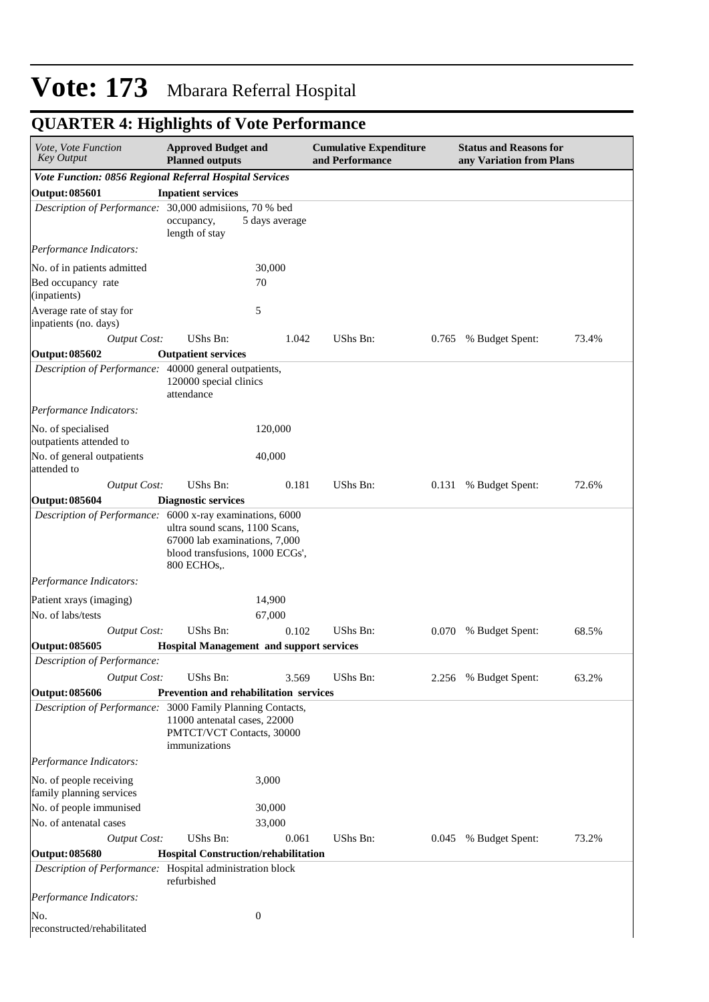| Vote, Vote Function<br><b>Key Output</b>                   | <b>Approved Budget and</b><br><b>Planned outputs</b>                                                              |                  | <b>Cumulative Expenditure</b><br>and Performance |       | <b>Status and Reasons for</b><br>any Variation from Plans |       |  |  |
|------------------------------------------------------------|-------------------------------------------------------------------------------------------------------------------|------------------|--------------------------------------------------|-------|-----------------------------------------------------------|-------|--|--|
| Vote Function: 0856 Regional Referral Hospital Services    |                                                                                                                   |                  |                                                  |       |                                                           |       |  |  |
| <b>Output: 085601</b>                                      | <b>Inpatient services</b>                                                                                         |                  |                                                  |       |                                                           |       |  |  |
| Description of Performance: 30,000 admisiions, 70 % bed    | occupancy,<br>length of stay                                                                                      | 5 days average   |                                                  |       |                                                           |       |  |  |
| Performance Indicators:                                    |                                                                                                                   |                  |                                                  |       |                                                           |       |  |  |
| No. of in patients admitted                                |                                                                                                                   | 30,000           |                                                  |       |                                                           |       |  |  |
| Bed occupancy rate<br>(inpatients)                         |                                                                                                                   | 70               |                                                  |       |                                                           |       |  |  |
| Average rate of stay for<br>inpatients (no. days)          |                                                                                                                   | 5                |                                                  |       |                                                           |       |  |  |
| <b>Output Cost:</b>                                        | UShs Bn:                                                                                                          | 1.042            | UShs Bn:                                         | 0.765 | % Budget Spent:                                           | 73.4% |  |  |
| <b>Output: 085602</b>                                      | <b>Outpatient services</b>                                                                                        |                  |                                                  |       |                                                           |       |  |  |
| Description of Performance: 40000 general outpatients,     | 120000 special clinics<br>attendance                                                                              |                  |                                                  |       |                                                           |       |  |  |
| Performance Indicators:                                    |                                                                                                                   |                  |                                                  |       |                                                           |       |  |  |
| No. of specialised<br>outpatients attended to              |                                                                                                                   | 120,000          |                                                  |       |                                                           |       |  |  |
| No. of general outpatients<br>attended to                  |                                                                                                                   | 40,000           |                                                  |       |                                                           |       |  |  |
| <b>Output Cost:</b>                                        | <b>UShs Bn:</b>                                                                                                   | 0.181            | UShs Bn:                                         | 0.131 | % Budget Spent:                                           | 72.6% |  |  |
| <b>Output: 085604</b>                                      | <b>Diagnostic services</b>                                                                                        |                  |                                                  |       |                                                           |       |  |  |
| Description of Performance: 6000 x-ray examinations, 6000  | ultra sound scans, 1100 Scans,<br>67000 lab examinations, 7,000<br>blood transfusions, 1000 ECGs',<br>800 ECHOs,. |                  |                                                  |       |                                                           |       |  |  |
| Performance Indicators:                                    |                                                                                                                   |                  |                                                  |       |                                                           |       |  |  |
| Patient xrays (imaging)<br>No. of labs/tests               |                                                                                                                   | 14,900<br>67,000 |                                                  |       |                                                           |       |  |  |
| <b>Output Cost:</b>                                        | UShs Bn:                                                                                                          | 0.102            | UShs Bn:                                         | 0.070 | % Budget Spent:                                           | 68.5% |  |  |
| <b>Output: 085605</b>                                      | <b>Hospital Management and support services</b>                                                                   |                  |                                                  |       |                                                           |       |  |  |
| Description of Performance:                                |                                                                                                                   |                  |                                                  |       |                                                           |       |  |  |
| <b>Output Cost:</b>                                        | <b>UShs Bn:</b>                                                                                                   | 3.569            | UShs Bn:                                         |       | 2.256 % Budget Spent:                                     | 63.2% |  |  |
| <b>Output: 085606</b>                                      | Prevention and rehabilitation services                                                                            |                  |                                                  |       |                                                           |       |  |  |
| Description of Performance: 3000 Family Planning Contacts, | 11000 antenatal cases, 22000<br>PMTCT/VCT Contacts, 30000<br>immunizations                                        |                  |                                                  |       |                                                           |       |  |  |
| Performance Indicators:                                    |                                                                                                                   |                  |                                                  |       |                                                           |       |  |  |
| No. of people receiving<br>family planning services        |                                                                                                                   | 3,000            |                                                  |       |                                                           |       |  |  |
| No. of people immunised<br>No. of antenatal cases          |                                                                                                                   | 30,000<br>33,000 |                                                  |       |                                                           |       |  |  |
| <b>Output Cost:</b>                                        | UShs Bn:                                                                                                          | 0.061            | UShs Bn:                                         | 0.045 | % Budget Spent:                                           | 73.2% |  |  |
| <b>Output: 085680</b>                                      | Hospital Construction/rehabilitation                                                                              |                  |                                                  |       |                                                           |       |  |  |
| Description of Performance: Hospital administration block  | refurbished                                                                                                       |                  |                                                  |       |                                                           |       |  |  |
| Performance Indicators:                                    |                                                                                                                   |                  |                                                  |       |                                                           |       |  |  |
| No.<br>reconstructed/rehabilitated                         |                                                                                                                   | $\mathbf{0}$     |                                                  |       |                                                           |       |  |  |

## **QUARTER 4: Highlights of Vote Performance**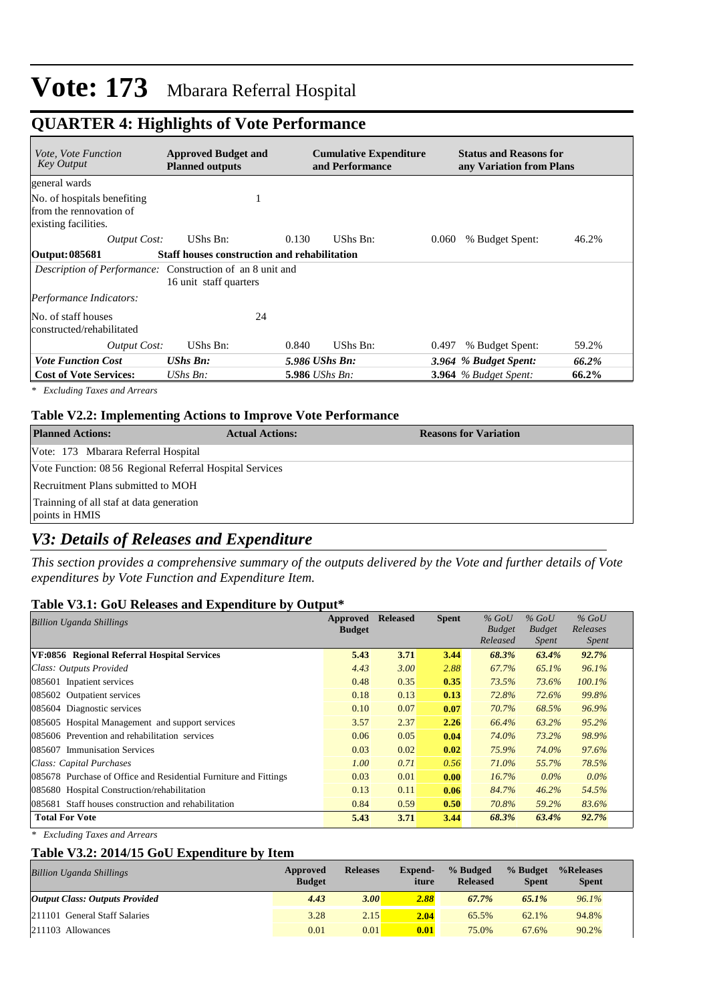### **QUARTER 4: Highlights of Vote Performance**

| <i>Vote, Vote Function</i><br><b>Key Output</b>                                | <b>Approved Budget and</b><br><b>Planned outputs</b> |       | <b>Cumulative Expenditure</b><br>and Performance |       | <b>Status and Reasons for</b><br>any Variation from Plans |       |
|--------------------------------------------------------------------------------|------------------------------------------------------|-------|--------------------------------------------------|-------|-----------------------------------------------------------|-------|
| general wards                                                                  |                                                      |       |                                                  |       |                                                           |       |
| No. of hospitals benefiting<br>from the rennovation of<br>existing facilities. |                                                      |       |                                                  |       |                                                           |       |
| Output Cost:                                                                   | UShs Bn:                                             | 0.130 | UShs Bn:                                         | 0.060 | % Budget Spent:                                           | 46.2% |
| Output: 085681                                                                 | Staff houses construction and rehabilitation         |       |                                                  |       |                                                           |       |
| <i>Description of Performance:</i> Construction of an 8 unit and               | 16 unit staff quarters                               |       |                                                  |       |                                                           |       |
| Performance Indicators:                                                        |                                                      |       |                                                  |       |                                                           |       |
| No. of staff houses<br>constructed/rehabilitated                               | 24                                                   |       |                                                  |       |                                                           |       |
| <b>Output Cost:</b>                                                            | UShs Bn:                                             | 0.840 | UShs Bn:                                         | 0.497 | % Budget Spent:                                           | 59.2% |
| <b>Vote Function Cost</b>                                                      | <b>UShs Bn:</b>                                      |       | 5.986 UShs Bn:                                   |       | 3.964 % Budget Spent:                                     | 66.2% |
| <b>Cost of Vote Services:</b>                                                  | $\mathit{UShs}\, \mathit{Bn}$ :                      |       | <b>5.986</b> UShs Bn:                            |       | $3.964$ % Budget Spent:                                   | 66.2% |

*\* Excluding Taxes and Arrears*

#### **Table V2.2: Implementing Actions to Improve Vote Performance**

| <b>Planned Actions:</b>                                    | <b>Actual Actions:</b> | <b>Reasons for Variation</b> |
|------------------------------------------------------------|------------------------|------------------------------|
| Vote: 173 Mbarara Referral Hospital                        |                        |                              |
| Vote Function: 08 56 Regional Referral Hospital Services   |                        |                              |
| Recruitment Plans submitted to MOH                         |                        |                              |
| Trainning of all staf at data generation<br>points in HMIS |                        |                              |

#### *V3: Details of Releases and Expenditure*

*This section provides a comprehensive summary of the outputs delivered by the Vote and further details of Vote expenditures by Vote Function and Expenditure Item.*

#### **Table V3.1: GoU Releases and Expenditure by Output\***

| <b>Billion Uganda Shillings</b>                                  | Approved<br><b>Budget</b> | <b>Released</b> | <b>Spent</b> | $%$ GoU<br><b>Budget</b><br>Released | $%$ GoU<br><b>Budget</b><br>Spent | $%$ GoU<br>Releases<br><i>Spent</i> |
|------------------------------------------------------------------|---------------------------|-----------------|--------------|--------------------------------------|-----------------------------------|-------------------------------------|
| VF:0856 Regional Referral Hospital Services                      | 5.43                      | 3.71            | 3.44         | 68.3%                                | 63.4%                             | 92.7%                               |
| Class: Outputs Provided                                          | 4.43                      | 3.00            | 2.88         | 67.7%                                | 65.1%                             | 96.1%                               |
| 085601 Inpatient services                                        | 0.48                      | 0.35            | 0.35         | 73.5%                                | 73.6%                             | $100.1\%$                           |
| 085602 Outpatient services                                       | 0.18                      | 0.13            | 0.13         | 72.8%                                | 72.6%                             | 99.8%                               |
| 085604 Diagnostic services                                       | 0.10                      | 0.07            | 0.07         | 70.7%                                | 68.5%                             | 96.9%                               |
| 085605 Hospital Management and support services                  | 3.57                      | 2.37            | 2.26         | 66.4%                                | 63.2%                             | 95.2%                               |
| 085606 Prevention and rehabilitation services                    | 0.06                      | 0.05            | 0.04         | 74.0%                                | 73.2%                             | 98.9%                               |
| 085607 Immunisation Services                                     | 0.03                      | 0.02            | 0.02         | 75.9%                                | 74.0%                             | 97.6%                               |
| Class: Capital Purchases                                         | 1.00                      | 0.71            | 0.56         | 71.0%                                | 55.7%                             | 78.5%                               |
| 085678 Purchase of Office and Residential Furniture and Fittings | 0.03                      | 0.01            | 0.00         | 16.7%                                | $0.0\%$                           | $0.0\%$                             |
| 085680 Hospital Construction/rehabilitation                      | 0.13                      | 0.11            | 0.06         | 84.7%                                | 46.2%                             | 54.5%                               |
| 085681 Staff houses construction and rehabilitation              | 0.84                      | 0.59            | 0.50         | 70.8%                                | 59.2%                             | 83.6%                               |
| <b>Total For Vote</b>                                            | 5.43                      | 3.71            | 3.44         | 68.3%                                | 63.4%                             | 92.7%                               |

*\* Excluding Taxes and Arrears*

#### **Table V3.2: 2014/15 GoU Expenditure by Item**

| <b>Billion Uganda Shillings</b>       | Approved<br><b>Budget</b> | <b>Releases</b> | <b>Expend-</b><br>iture | % Budged<br><b>Released</b> | % Budget<br><b>Spent</b> | %Releases<br><b>Spent</b> |
|---------------------------------------|---------------------------|-----------------|-------------------------|-----------------------------|--------------------------|---------------------------|
| <b>Output Class: Outputs Provided</b> | 4.43                      | 3.OO            | 2.88                    | 67.7%                       | 65.1%                    | 96.1%                     |
| 211101 General Staff Salaries         | 3.28                      | 2.15            | 2.04                    | 65.5%                       | 62.1%                    | 94.8%                     |
| $ 211103$ Allowances                  | 0.01                      | 0.01            | 0.01                    | 75.0%                       | 67.6%                    | 90.2%                     |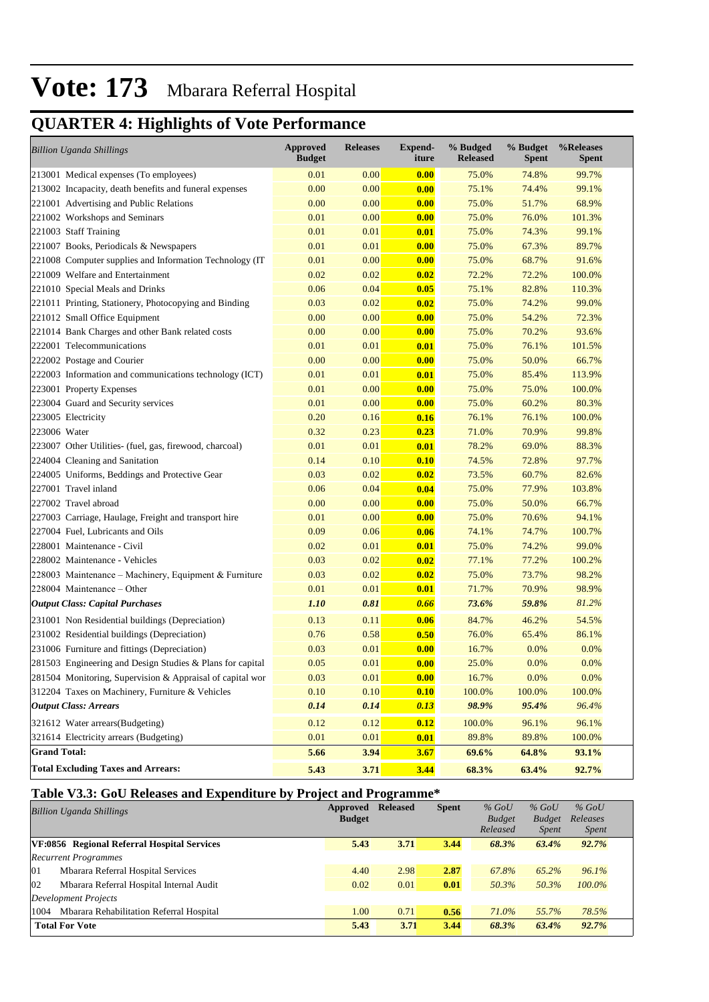## **QUARTER 4: Highlights of Vote Performance**

| <b>Billion Uganda Shillings</b>                           | <b>Approved</b><br><b>Budget</b> | <b>Releases</b> | <b>Expend-</b><br>iture | % Budged<br><b>Released</b> | % Budget<br><b>Spent</b> | %Releases<br>Spent |
|-----------------------------------------------------------|----------------------------------|-----------------|-------------------------|-----------------------------|--------------------------|--------------------|
| 213001 Medical expenses (To employees)                    | 0.01                             | 0.00            | 0.00                    | 75.0%                       | 74.8%                    | 99.7%              |
| 213002 Incapacity, death benefits and funeral expenses    | 0.00                             | 0.00            | 0.00                    | 75.1%                       | 74.4%                    | 99.1%              |
| 221001 Advertising and Public Relations                   | 0.00                             | 0.00            | 0.00                    | 75.0%                       | 51.7%                    | 68.9%              |
| 221002 Workshops and Seminars                             | 0.01                             | 0.00            | 0.00                    | 75.0%                       | 76.0%                    | 101.3%             |
| 221003 Staff Training                                     | 0.01                             | 0.01            | 0.01                    | 75.0%                       | 74.3%                    | 99.1%              |
| 221007 Books, Periodicals & Newspapers                    | 0.01                             | 0.01            | 0.00                    | 75.0%                       | 67.3%                    | 89.7%              |
| 221008 Computer supplies and Information Technology (IT)  | 0.01                             | 0.00            | 0.00                    | 75.0%                       | 68.7%                    | 91.6%              |
| 221009 Welfare and Entertainment                          | 0.02                             | 0.02            | 0.02                    | 72.2%                       | 72.2%                    | 100.0%             |
| 221010 Special Meals and Drinks                           | 0.06                             | 0.04            | 0.05                    | 75.1%                       | 82.8%                    | 110.3%             |
| 221011 Printing, Stationery, Photocopying and Binding     | 0.03                             | 0.02            | 0.02                    | 75.0%                       | 74.2%                    | 99.0%              |
| 221012 Small Office Equipment                             | 0.00                             | 0.00            | 0.00                    | 75.0%                       | 54.2%                    | 72.3%              |
| 221014 Bank Charges and other Bank related costs          | 0.00                             | 0.00            | 0.00                    | 75.0%                       | 70.2%                    | 93.6%              |
| 222001 Telecommunications                                 | 0.01                             | 0.01            | 0.01                    | 75.0%                       | 76.1%                    | 101.5%             |
| 222002 Postage and Courier                                | 0.00                             | 0.00            | 0.00                    | 75.0%                       | 50.0%                    | 66.7%              |
| 222003 Information and communications technology (ICT)    | 0.01                             | 0.01            | 0.01                    | 75.0%                       | 85.4%                    | 113.9%             |
| 223001 Property Expenses                                  | 0.01                             | 0.00            | 0.00                    | 75.0%                       | 75.0%                    | 100.0%             |
| 223004 Guard and Security services                        | 0.01                             | 0.00            | 0.00                    | 75.0%                       | 60.2%                    | 80.3%              |
| 223005 Electricity                                        | 0.20                             | 0.16            | 0.16                    | 76.1%                       | 76.1%                    | 100.0%             |
| 223006 Water                                              | 0.32                             | 0.23            | 0.23                    | 71.0%                       | 70.9%                    | 99.8%              |
| 223007 Other Utilities- (fuel, gas, firewood, charcoal)   | 0.01                             | 0.01            | 0.01                    | 78.2%                       | 69.0%                    | 88.3%              |
| 224004 Cleaning and Sanitation                            | 0.14                             | 0.10            | 0.10                    | 74.5%                       | 72.8%                    | 97.7%              |
| 224005 Uniforms, Beddings and Protective Gear             | 0.03                             | 0.02            | 0.02                    | 73.5%                       | 60.7%                    | 82.6%              |
| 227001 Travel inland                                      | 0.06                             | 0.04            | 0.04                    | 75.0%                       | 77.9%                    | 103.8%             |
| 227002 Travel abroad                                      | 0.00                             | 0.00            | 0.00                    | 75.0%                       | 50.0%                    | 66.7%              |
| 227003 Carriage, Haulage, Freight and transport hire      | 0.01                             | 0.00            | 0.00                    | 75.0%                       | 70.6%                    | 94.1%              |
| 227004 Fuel, Lubricants and Oils                          | 0.09                             | 0.06            | 0.06                    | 74.1%                       | 74.7%                    | 100.7%             |
| 228001 Maintenance - Civil                                | 0.02                             | 0.01            | 0.01                    | 75.0%                       | 74.2%                    | 99.0%              |
| 228002 Maintenance - Vehicles                             | 0.03                             | 0.02            | 0.02                    | 77.1%                       | 77.2%                    | 100.2%             |
| 228003 Maintenance – Machinery, Equipment & Furniture     | 0.03                             | 0.02            | 0.02                    | 75.0%                       | 73.7%                    | 98.2%              |
| 228004 Maintenance – Other                                | 0.01                             | 0.01            | 0.01                    | 71.7%                       | 70.9%                    | 98.9%              |
| <b>Output Class: Capital Purchases</b>                    | <i>1.10</i>                      | 0.81            | 0.66                    | 73.6%                       | 59.8%                    | 81.2%              |
| 231001 Non Residential buildings (Depreciation)           | 0.13                             | 0.11            | 0.06                    | 84.7%                       | 46.2%                    | 54.5%              |
| 231002 Residential buildings (Depreciation)               | 0.76                             | 0.58            | 0.50                    | 76.0%                       | 65.4%                    | 86.1%              |
| 231006 Furniture and fittings (Depreciation)              | 0.03                             | 0.01            | 0.00                    | 16.7%                       | 0.0%                     | 0.0%               |
| 281503 Engineering and Design Studies & Plans for capital | 0.05                             | 0.01            | 0.00                    | 25.0%                       | 0.0%                     | 0.0%               |
| 281504 Monitoring, Supervision & Appraisal of capital wor | 0.03                             | 0.01            | 0.00                    | 16.7%                       | $0.0\%$                  | 0.0%               |
| 312204 Taxes on Machinery, Furniture & Vehicles           | 0.10                             | 0.10            | 0.10                    | 100.0%                      | 100.0%                   | 100.0%             |
| <b>Output Class: Arrears</b>                              | 0.14                             | 0.14            | 0.13                    | 98.9%                       | 95.4%                    | 96.4%              |
| 321612 Water arrears(Budgeting)                           | 0.12                             | 0.12            | 0.12                    | 100.0%                      | 96.1%                    | 96.1%              |
| 321614 Electricity arrears (Budgeting)                    | 0.01                             | 0.01            | 0.01                    | 89.8%                       | 89.8%                    | 100.0%             |
| <b>Grand Total:</b>                                       | 5.66                             | 3.94            | 3.67                    | 69.6%                       | 64.8%                    | 93.1%              |
| <b>Total Excluding Taxes and Arrears:</b>                 | 5.43                             | 3.71            | 3.44                    | 68.3%                       | 63.4%                    | 92.7%              |

#### **Table V3.3: GoU Releases and Expenditure by Project and Programme\***

| <b>Billion Uganda Shillings</b>                  | Approved      | <b>Released</b> | <b>Spent</b> | $%$ GoU       | $%$ GoU       | $%$ GoU      |
|--------------------------------------------------|---------------|-----------------|--------------|---------------|---------------|--------------|
|                                                  | <b>Budget</b> |                 |              | <b>Budget</b> | <b>Budget</b> | Releases     |
|                                                  |               |                 |              | Released      | <i>Spent</i>  | <i>Spent</i> |
| VF:0856 Regional Referral Hospital Services      | 5.43          | 3.71            | 3.44         | 68.3%         | 63.4%         | 92.7%        |
| <b>Recurrent Programmes</b>                      |               |                 |              |               |               |              |
| 01<br>Mbarara Referral Hospital Services         | 4.40          | 2.98            | 2.87         | 67.8%         | 65.2%         | 96.1%        |
| 02<br>Mbarara Referral Hospital Internal Audit   | 0.02          | 0.01            | 0.01         | 50.3%         | 50.3%         | $100.0\%$    |
| Development Projects                             |               |                 |              |               |               |              |
| Mbarara Rehabilitation Referral Hospital<br>1004 | 1.00          | 0.71            | 0.56         | 71.0%         | 55.7%         | 78.5%        |
| <b>Total For Vote</b>                            | 5.43          | 3.71            | 3.44         | 68.3%         | 63.4%         | 92.7%        |